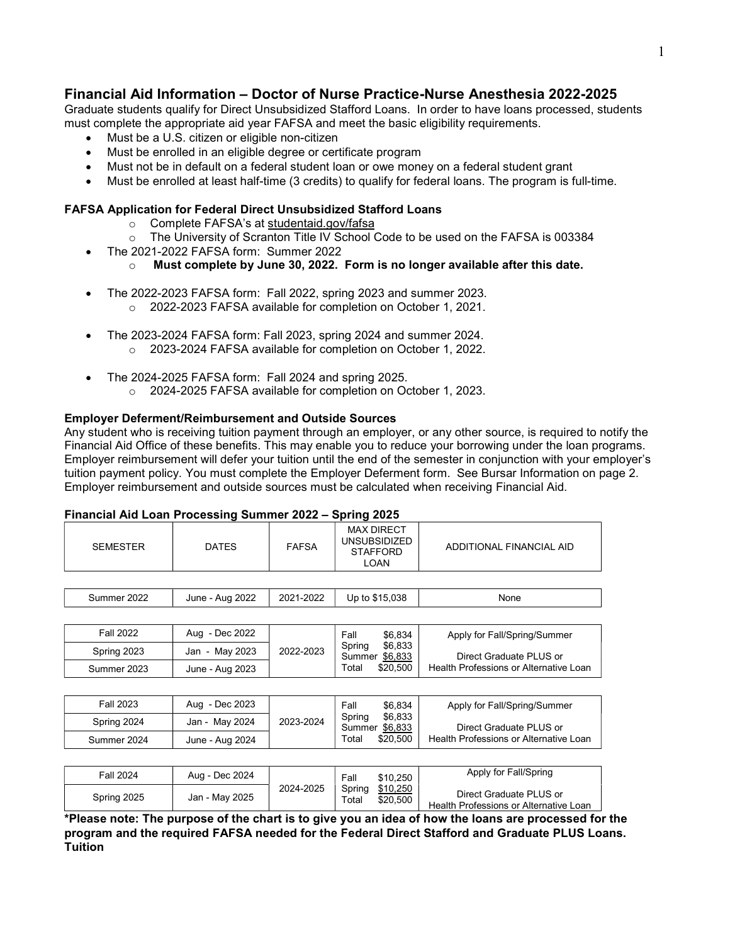# Financial Aid Information – Doctor of Nurse Practice-Nurse Anesthesia 2022-2025

Graduate students qualify for Direct Unsubsidized Stafford Loans. In order to have loans processed, students must complete the appropriate aid year FAFSA and meet the basic eligibility requirements.

- Must be a U.S. citizen or eligible non-citizen
- Must be enrolled in an eligible degree or certificate program
- Must not be in default on a federal student loan or owe money on a federal student grant
- Must be enrolled at least half-time (3 credits) to qualify for federal loans. The program is full-time.

### FAFSA Application for Federal Direct Unsubsidized Stafford Loans

- o Complete FAFSA's at studentaid.gov/fafsa
- $\circ$  The University of Scranton Title IV School Code to be used on the FAFSA is 003384
- The 2021-2022 FAFSA form: Summer 2022
	- $\circ$  Must complete by June 30, 2022. Form is no longer available after this date.
- The 2022-2023 FAFSA form: Fall 2022, spring 2023 and summer 2023. o 2022-2023 FAFSA available for completion on October 1, 2021.
- The 2023-2024 FAFSA form: Fall 2023, spring 2024 and summer 2024. o 2023-2024 FAFSA available for completion on October 1, 2022.
- The 2024-2025 FAFSA form: Fall 2024 and spring 2025.
	- o 2024-2025 FAFSA available for completion on October 1, 2023.

#### Employer Deferment/Reimbursement and Outside Sources

Any student who is receiving tuition payment through an employer, or any other source, is required to notify the Financial Aid Office of these benefits. This may enable you to reduce your borrowing under the loan programs. Employer reimbursement will defer your tuition until the end of the semester in conjunction with your employer's tuition payment policy. You must complete the Employer Deferment form. See Bursar Information on page 2. Employer reimbursement and outside sources must be calculated when receiving Financial Aid.

#### Financial Aid Loan Processing Summer 2022 – Spring 2025

| <b>SEMESTER</b>  | <b>DATES</b>    | <b>FAFSA</b> | <b>MAX DIRECT</b><br><b>UNSUBSIDIZED</b><br><b>STAFFORD</b><br><b>LOAN</b>  | ADDITIONAL FINANCIAL AID                                          |
|------------------|-----------------|--------------|-----------------------------------------------------------------------------|-------------------------------------------------------------------|
|                  |                 |              |                                                                             |                                                                   |
| Summer 2022      | June - Aug 2022 | 2021-2022    | Up to \$15,038                                                              | None                                                              |
|                  |                 |              |                                                                             |                                                                   |
| <b>Fall 2022</b> | Aug - Dec 2022  | 2022-2023    | \$6,834<br>Fall<br>\$6,833<br>Spring<br>Summer \$6,833<br>\$20,500<br>Total | Apply for Fall/Spring/Summer                                      |
| Spring 2023      | Jan - May 2023  |              |                                                                             | Direct Graduate PLUS or                                           |
| Summer 2023      | June - Aug 2023 |              |                                                                             | Health Professions or Alternative Loan                            |
|                  |                 |              |                                                                             |                                                                   |
| <b>Fall 2023</b> | Aug - Dec 2023  | 2023-2024    | \$6.834<br>Fall<br>\$6,833<br>Spring<br>\$6,833<br>Summer                   | Apply for Fall/Spring/Summer                                      |
| Spring 2024      | Jan - May 2024  |              |                                                                             | Direct Graduate PLUS or                                           |
| Summer 2024      | June - Aug 2024 |              | \$20,500<br>Total                                                           | Health Professions or Alternative Loan                            |
|                  |                 |              |                                                                             |                                                                   |
| <b>Fall 2024</b> | Aug - Dec 2024  | 2024-2025    | Fall<br>\$10,250<br>\$10,250<br>Spring<br>\$20,500<br>Total                 | Apply for Fall/Spring                                             |
| Spring 2025      | Jan - May 2025  |              |                                                                             | Direct Graduate PLUS or<br>Health Professions or Alternative Loan |

\*Please note: The purpose of the chart is to give you an idea of how the loans are processed for the program and the required FAFSA needed for the Federal Direct Stafford and Graduate PLUS Loans. Tuition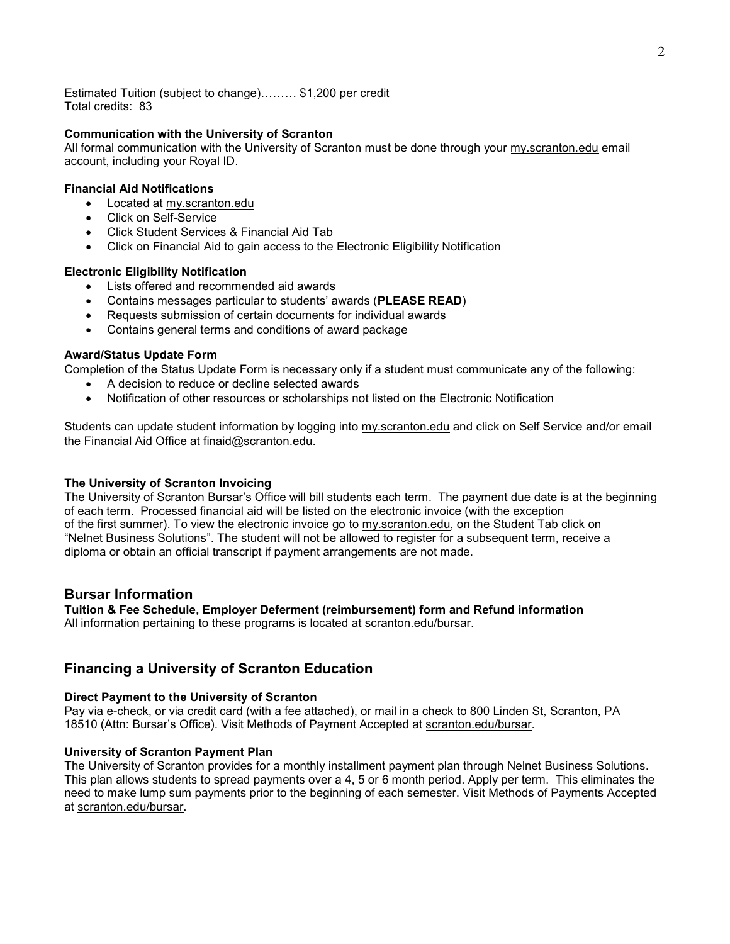Estimated Tuition (subject to change)……… \$1,200 per credit Total credits: 83

#### Communication with the University of Scranton

All formal communication with the University of Scranton must be done through your my.scranton.edu email account, including your Royal ID.

#### Financial Aid Notifications

- Located at my.scranton.edu
- Click on Self-Service
- Click Student Services & Financial Aid Tab
- Click on Financial Aid to gain access to the Electronic Eligibility Notification

#### Electronic Eligibility Notification

- Lists offered and recommended aid awards
- Contains messages particular to students' awards (PLEASE READ)
- Requests submission of certain documents for individual awards
- Contains general terms and conditions of award package

#### Award/Status Update Form

Completion of the Status Update Form is necessary only if a student must communicate any of the following:

- A decision to reduce or decline selected awards
- Notification of other resources or scholarships not listed on the Electronic Notification

Students can update student information by logging into my.scranton.edu and click on Self Service and/or email the Financial Aid Office at finaid@scranton.edu.

#### The University of Scranton Invoicing

The University of Scranton Bursar's Office will bill students each term. The payment due date is at the beginning of each term. Processed financial aid will be listed on the electronic invoice (with the exception of the first summer). To view the electronic invoice go to my.scranton.edu, on the Student Tab click on "Nelnet Business Solutions". The student will not be allowed to register for a subsequent term, receive a diploma or obtain an official transcript if payment arrangements are not made.

## Bursar Information

# Tuition & Fee Schedule, Employer Deferment (reimbursement) form and Refund information

All information pertaining to these programs is located at scranton.edu/bursar.

# Financing a University of Scranton Education

#### Direct Payment to the University of Scranton

Pay via e-check, or via credit card (with a fee attached), or mail in a check to 800 Linden St, Scranton, PA 18510 (Attn: Bursar's Office). Visit Methods of Payment Accepted at scranton.edu/bursar.

#### University of Scranton Payment Plan

The University of Scranton provides for a monthly installment payment plan through Nelnet Business Solutions. This plan allows students to spread payments over a 4, 5 or 6 month period. Apply per term. This eliminates the need to make lump sum payments prior to the beginning of each semester. Visit Methods of Payments Accepted at scranton.edu/bursar.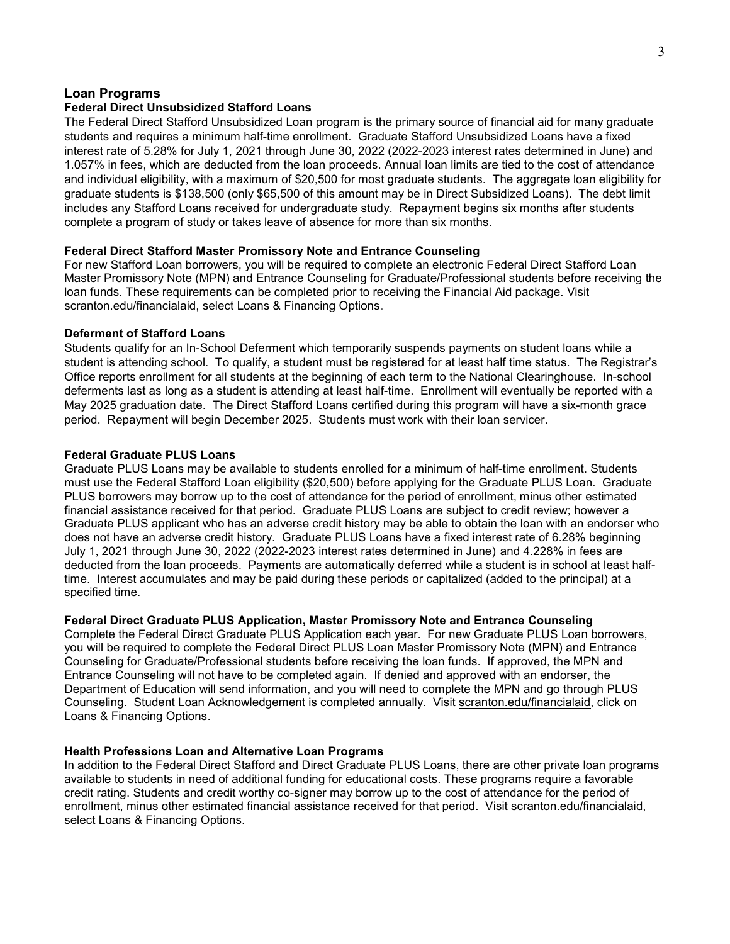#### Loan Programs

#### Federal Direct Unsubsidized Stafford Loans

The Federal Direct Stafford Unsubsidized Loan program is the primary source of financial aid for many graduate students and requires a minimum half-time enrollment. Graduate Stafford Unsubsidized Loans have a fixed interest rate of 5.28% for July 1, 2021 through June 30, 2022 (2022-2023 interest rates determined in June) and 1.057% in fees, which are deducted from the loan proceeds. Annual loan limits are tied to the cost of attendance and individual eligibility, with a maximum of \$20,500 for most graduate students. The aggregate loan eligibility for graduate students is \$138,500 (only \$65,500 of this amount may be in Direct Subsidized Loans). The debt limit includes any Stafford Loans received for undergraduate study. Repayment begins six months after students complete a program of study or takes leave of absence for more than six months.

#### Federal Direct Stafford Master Promissory Note and Entrance Counseling

For new Stafford Loan borrowers, you will be required to complete an electronic Federal Direct Stafford Loan Master Promissory Note (MPN) and Entrance Counseling for Graduate/Professional students before receiving the loan funds. These requirements can be completed prior to receiving the Financial Aid package. Visit scranton.edu/financialaid, select Loans & Financing Options.

#### Deferment of Stafford Loans

Students qualify for an In-School Deferment which temporarily suspends payments on student loans while a student is attending school. To qualify, a student must be registered for at least half time status. The Registrar's Office reports enrollment for all students at the beginning of each term to the National Clearinghouse. In-school deferments last as long as a student is attending at least half-time. Enrollment will eventually be reported with a May 2025 graduation date. The Direct Stafford Loans certified during this program will have a six-month grace period. Repayment will begin December 2025. Students must work with their loan servicer.

#### Federal Graduate PLUS Loans

Graduate PLUS Loans may be available to students enrolled for a minimum of half-time enrollment. Students must use the Federal Stafford Loan eligibility (\$20,500) before applying for the Graduate PLUS Loan. Graduate PLUS borrowers may borrow up to the cost of attendance for the period of enrollment, minus other estimated financial assistance received for that period. Graduate PLUS Loans are subject to credit review; however a Graduate PLUS applicant who has an adverse credit history may be able to obtain the loan with an endorser who does not have an adverse credit history. Graduate PLUS Loans have a fixed interest rate of 6.28% beginning July 1, 2021 through June 30, 2022 (2022-2023 interest rates determined in June) and 4.228% in fees are deducted from the loan proceeds. Payments are automatically deferred while a student is in school at least halftime. Interest accumulates and may be paid during these periods or capitalized (added to the principal) at a specified time.

#### Federal Direct Graduate PLUS Application, Master Promissory Note and Entrance Counseling

Complete the Federal Direct Graduate PLUS Application each year. For new Graduate PLUS Loan borrowers, you will be required to complete the Federal Direct PLUS Loan Master Promissory Note (MPN) and Entrance Counseling for Graduate/Professional students before receiving the loan funds. If approved, the MPN and Entrance Counseling will not have to be completed again. If denied and approved with an endorser, the Department of Education will send information, and you will need to complete the MPN and go through PLUS Counseling. Student Loan Acknowledgement is completed annually. Visit scranton.edu/financialaid, click on Loans & Financing Options.

#### Health Professions Loan and Alternative Loan Programs

In addition to the Federal Direct Stafford and Direct Graduate PLUS Loans, there are other private loan programs available to students in need of additional funding for educational costs. These programs require a favorable credit rating. Students and credit worthy co-signer may borrow up to the cost of attendance for the period of enrollment, minus other estimated financial assistance received for that period. Visit scranton.edu/financialaid, select Loans & Financing Options.